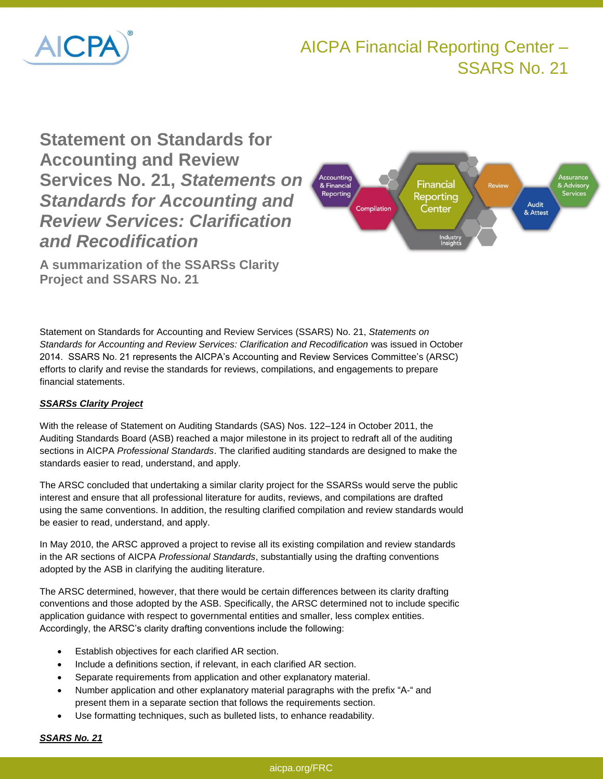

# **Statement on Standards for Accounting and Review Services No. 21,** *Statements on Standards for Accounting and Review Services: Clarification and Recodification*

**A summarization of the SSARSs Clarity Project and SSARS No. 21**

Statement on Standards for Accounting and Review Services (SSARS) No. 21, *Statements on Standards for Accounting and Review Services: Clarification and Recodification* was issued in October 2014. SSARS No. 21 represents the AICPA's Accounting and Review Services Committee's (ARSC) efforts to clarify and revise the standards for reviews, compilations, and engagements to prepare financial statements.

## *SSARSs Clarity Project*

With the release of Statement on Auditing Standards (SAS) Nos. 122–124 in October 2011, the Auditing Standards Board (ASB) reached a major milestone in its project to redraft all of the auditing sections in AICPA *Professional Standards*. The clarified auditing standards are designed to make the standards easier to read, understand, and apply.

The ARSC concluded that undertaking a similar clarity project for the SSARSs would serve the public interest and ensure that all professional literature for audits, reviews, and compilations are drafted using the same conventions. In addition, the resulting clarified compilation and review standards would be easier to read, understand, and apply.

In May 2010, the ARSC approved a project to revise all its existing compilation and review standards in the AR sections of AICPA *Professional Standards*, substantially using the drafting conventions adopted by the ASB in clarifying the auditing literature.

The ARSC determined, however, that there would be certain differences between its clarity drafting conventions and those adopted by the ASB. Specifically, the ARSC determined not to include specific application guidance with respect to governmental entities and smaller, less complex entities. Accordingly, the ARSC's clarity drafting conventions include the following:

- Establish objectives for each clarified AR section.
- Include a definitions section, if relevant, in each clarified AR section.
- Separate requirements from application and other explanatory material.
- Number application and other explanatory material paragraphs with the prefix "A-" and present them in a separate section that follows the requirements section.
- Use formatting techniques, such as bulleted lists, to enhance readability.

# *SSARS No. 21*

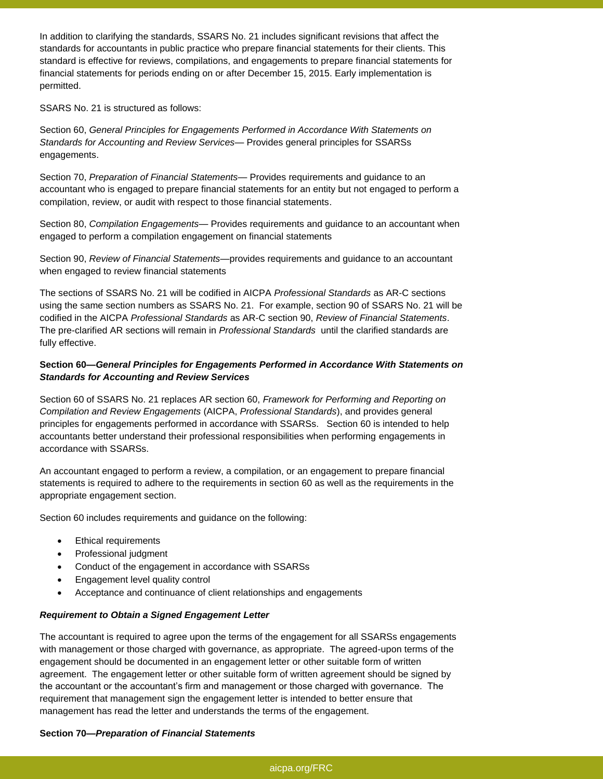In addition to clarifying the standards, SSARS No. 21 includes significant revisions that affect the standards for accountants in public practice who prepare financial statements for their clients. This standard is effective for reviews, compilations, and engagements to prepare financial statements for financial statements for periods ending on or after December 15, 2015. Early implementation is permitted.

SSARS No. 21 is structured as follows:

Section 60, *General Principles for Engagements Performed in Accordance With Statements on Standards for Accounting and Review Services*— Provides general principles for SSARSs engagements.

Section 70, *Preparation of Financial Statements*— Provides requirements and guidance to an accountant who is engaged to prepare financial statements for an entity but not engaged to perform a compilation, review, or audit with respect to those financial statements.

Section 80, *Compilation Engagements*— Provides requirements and guidance to an accountant when engaged to perform a compilation engagement on financial statements

Section 90, *Review of Financial Statements*—provides requirements and guidance to an accountant when engaged to review financial statements

The sections of SSARS No. 21 will be codified in AICPA *Professional Standards* as AR-C sections using the same section numbers as SSARS No. 21. For example, section 90 of SSARS No. 21 will be codified in the AICPA *Professional Standards* as AR-C section 90, *Review of Financial Statements*. The pre-clarified AR sections will remain in *Professional Standards* until the clarified standards are fully effective.

## **Section 60—***General Principles for Engagements Performed in Accordance With Statements on Standards for Accounting and Review Services*

Section 60 of SSARS No. 21 replaces AR section 60, *Framework for Performing and Reporting on Compilation and Review Engagements* (AICPA, *Professional Standards*), and provides general principles for engagements performed in accordance with SSARSs. Section 60 is intended to help accountants better understand their professional responsibilities when performing engagements in accordance with SSARSs.

An accountant engaged to perform a review, a compilation, or an engagement to prepare financial statements is required to adhere to the requirements in section 60 as well as the requirements in the appropriate engagement section.

Section 60 includes requirements and guidance on the following:

- Ethical requirements
- Professional judgment
- Conduct of the engagement in accordance with SSARSs
- Engagement level quality control
- Acceptance and continuance of client relationships and engagements

## *Requirement to Obtain a Signed Engagement Letter*

The accountant is required to agree upon the terms of the engagement for all SSARSs engagements with management or those charged with governance, as appropriate. The agreed-upon terms of the engagement should be documented in an engagement letter or other suitable form of written agreement. The engagement letter or other suitable form of written agreement should be signed by the accountant or the accountant's firm and management or those charged with governance. The requirement that management sign the engagement letter is intended to better ensure that management has read the letter and understands the terms of the engagement.

#### **Section 70—***Preparation of Financial Statements*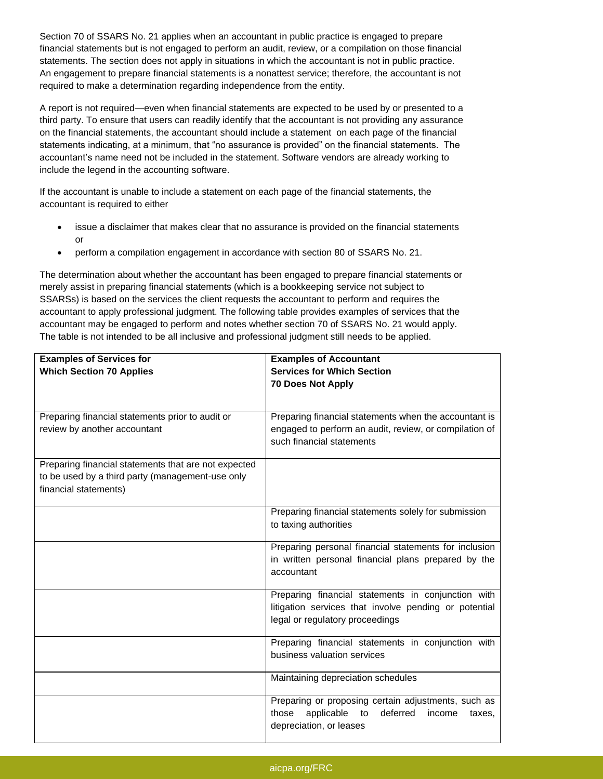Section 70 of SSARS No. 21 applies when an accountant in public practice is engaged to prepare financial statements but is not engaged to perform an audit, review, or a compilation on those financial statements. The section does not apply in situations in which the accountant is not in public practice. An engagement to prepare financial statements is a nonattest service; therefore, the accountant is not required to make a determination regarding independence from the entity.

A report is not required—even when financial statements are expected to be used by or presented to a third party. To ensure that users can readily identify that the accountant is not providing any assurance on the financial statements, the accountant should include a statement on each page of the financial statements indicating, at a minimum, that "no assurance is provided" on the financial statements. The accountant's name need not be included in the statement. Software vendors are already working to include the legend in the accounting software.

If the accountant is unable to include a statement on each page of the financial statements, the accountant is required to either

- issue a disclaimer that makes clear that no assurance is provided on the financial statements or
- perform a compilation engagement in accordance with section 80 of SSARS No. 21.

The determination about whether the accountant has been engaged to prepare financial statements or merely assist in preparing financial statements (which is a bookkeeping service not subject to SSARSs) is based on the services the client requests the accountant to perform and requires the accountant to apply professional judgment. The following table provides examples of services that the accountant may be engaged to perform and notes whether section 70 of SSARS No. 21 would apply. The table is not intended to be all inclusive and professional judgment still needs to be applied.

| <b>Examples of Services for</b><br><b>Examples of Accountant</b><br><b>Services for Which Section</b><br><b>Which Section 70 Applies</b><br><b>70 Does Not Apply</b><br>Preparing financial statements prior to audit or<br>Preparing financial statements when the accountant is<br>review by another accountant<br>engaged to perform an audit, review, or compilation of |
|-----------------------------------------------------------------------------------------------------------------------------------------------------------------------------------------------------------------------------------------------------------------------------------------------------------------------------------------------------------------------------|
|                                                                                                                                                                                                                                                                                                                                                                             |
|                                                                                                                                                                                                                                                                                                                                                                             |
|                                                                                                                                                                                                                                                                                                                                                                             |
|                                                                                                                                                                                                                                                                                                                                                                             |
|                                                                                                                                                                                                                                                                                                                                                                             |
|                                                                                                                                                                                                                                                                                                                                                                             |
|                                                                                                                                                                                                                                                                                                                                                                             |
| such financial statements                                                                                                                                                                                                                                                                                                                                                   |
|                                                                                                                                                                                                                                                                                                                                                                             |
| Preparing financial statements that are not expected                                                                                                                                                                                                                                                                                                                        |
| to be used by a third party (management-use only                                                                                                                                                                                                                                                                                                                            |
| financial statements)                                                                                                                                                                                                                                                                                                                                                       |
|                                                                                                                                                                                                                                                                                                                                                                             |
| Preparing financial statements solely for submission                                                                                                                                                                                                                                                                                                                        |
| to taxing authorities                                                                                                                                                                                                                                                                                                                                                       |
|                                                                                                                                                                                                                                                                                                                                                                             |
| Preparing personal financial statements for inclusion                                                                                                                                                                                                                                                                                                                       |
| in written personal financial plans prepared by the                                                                                                                                                                                                                                                                                                                         |
| accountant                                                                                                                                                                                                                                                                                                                                                                  |
|                                                                                                                                                                                                                                                                                                                                                                             |
| Preparing financial statements in conjunction with                                                                                                                                                                                                                                                                                                                          |
| litigation services that involve pending or potential                                                                                                                                                                                                                                                                                                                       |
|                                                                                                                                                                                                                                                                                                                                                                             |
| legal or regulatory proceedings                                                                                                                                                                                                                                                                                                                                             |
|                                                                                                                                                                                                                                                                                                                                                                             |
| Preparing financial statements in conjunction with                                                                                                                                                                                                                                                                                                                          |
| business valuation services                                                                                                                                                                                                                                                                                                                                                 |
|                                                                                                                                                                                                                                                                                                                                                                             |
| Maintaining depreciation schedules                                                                                                                                                                                                                                                                                                                                          |
|                                                                                                                                                                                                                                                                                                                                                                             |
| Preparing or proposing certain adjustments, such as                                                                                                                                                                                                                                                                                                                         |
| those<br>applicable<br>deferred<br>to<br>income<br>taxes,                                                                                                                                                                                                                                                                                                                   |
| depreciation, or leases                                                                                                                                                                                                                                                                                                                                                     |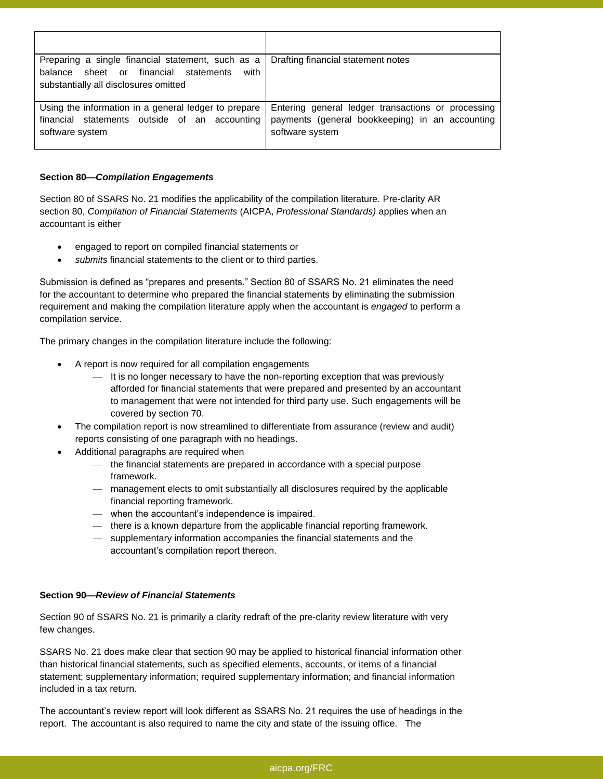| Preparing a single financial statement, such as a    | Drafting financial statement notes                 |
|------------------------------------------------------|----------------------------------------------------|
| balance sheet or financial<br>with<br>statements     |                                                    |
| substantially all disclosures omitted                |                                                    |
|                                                      |                                                    |
| Using the information in a general ledger to prepare | Entering general ledger transactions or processing |
| financial statements outside of an accounting        | payments (general bookkeeping) in an accounting    |
| software system                                      | software system                                    |
|                                                      |                                                    |

### **Section 80—***Compilation Engagements*

Section 80 of SSARS No. 21 modifies the applicability of the compilation literature. Pre-clarity AR section 80, *Compilation of Financial Statements* (AICPA, *Professional Standards)* applies when an accountant is either

- engaged to report on compiled financial statements or
- *submits* financial statements to the client or to third parties.

Submission is defined as "prepares and presents." Section 80 of SSARS No. 21 eliminates the need for the accountant to determine who prepared the financial statements by eliminating the submission requirement and making the compilation literature apply when the accountant is *engaged* to perform a compilation service.

The primary changes in the compilation literature include the following:

- A report is now required for all compilation engagements
	- It is no longer necessary to have the non-reporting exception that was previously afforded for financial statements that were prepared and presented by an accountant to management that were not intended for third party use. Such engagements will be covered by section 70.
- The compilation report is now streamlined to differentiate from assurance (review and audit) reports consisting of one paragraph with no headings.
- Additional paragraphs are required when
	- the financial statements are prepared in accordance with a special purpose framework.
	- management elects to omit substantially all disclosures required by the applicable financial reporting framework.
	- when the accountant's independence is impaired.
	- there is a known departure from the applicable financial reporting framework.
	- supplementary information accompanies the financial statements and the accountant's compilation report thereon.

## **Section 90—***Review of Financial Statements*

Section 90 of SSARS No. 21 is primarily a clarity redraft of the pre-clarity review literature with very few changes.

SSARS No. 21 does make clear that section 90 may be applied to historical financial information other than historical financial statements, such as specified elements, accounts, or items of a financial statement; supplementary information; required supplementary information; and financial information included in a tax return.

The accountant's review report will look different as SSARS No. 21 requires the use of headings in the report. The accountant is also required to name the city and state of the issuing office. The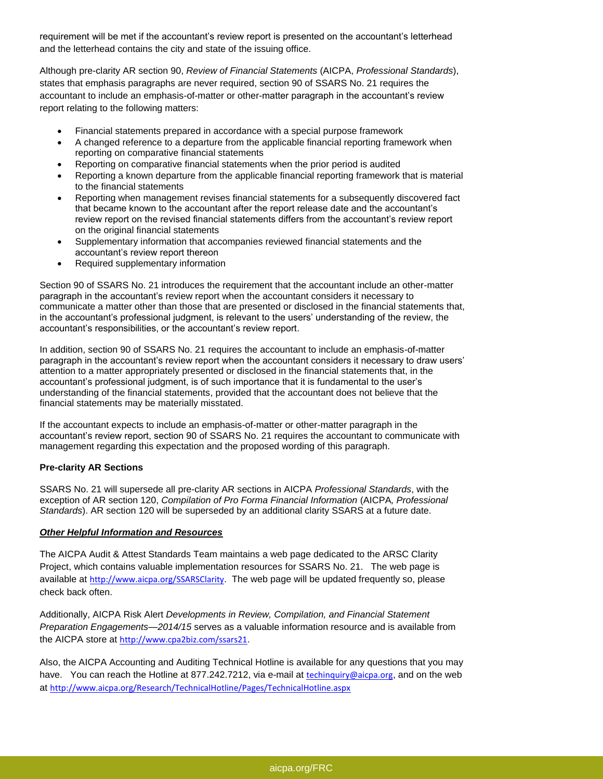requirement will be met if the accountant's review report is presented on the accountant's letterhead and the letterhead contains the city and state of the issuing office.

Although pre-clarity AR section 90, *Review of Financial Statements* (AICPA, *Professional Standards*), states that emphasis paragraphs are never required, section 90 of SSARS No. 21 requires the accountant to include an emphasis-of-matter or other-matter paragraph in the accountant's review report relating to the following matters:

- Financial statements prepared in accordance with a special purpose framework
- A changed reference to a departure from the applicable financial reporting framework when reporting on comparative financial statements
- Reporting on comparative financial statements when the prior period is audited
- Reporting a known departure from the applicable financial reporting framework that is material to the financial statements
- Reporting when management revises financial statements for a subsequently discovered fact that became known to the accountant after the report release date and the accountant's review report on the revised financial statements differs from the accountant's review report on the original financial statements
- Supplementary information that accompanies reviewed financial statements and the accountant's review report thereon
- Required supplementary information

Section 90 of SSARS No. 21 introduces the requirement that the accountant include an other-matter paragraph in the accountant's review report when the accountant considers it necessary to communicate a matter other than those that are presented or disclosed in the financial statements that, in the accountant's professional judgment, is relevant to the users' understanding of the review, the accountant's responsibilities, or the accountant's review report.

In addition, section 90 of SSARS No. 21 requires the accountant to include an emphasis-of-matter paragraph in the accountant's review report when the accountant considers it necessary to draw users' attention to a matter appropriately presented or disclosed in the financial statements that, in the accountant's professional judgment, is of such importance that it is fundamental to the user's understanding of the financial statements, provided that the accountant does not believe that the financial statements may be materially misstated.

If the accountant expects to include an emphasis-of-matter or other-matter paragraph in the accountant's review report, section 90 of SSARS No. 21 requires the accountant to communicate with management regarding this expectation and the proposed wording of this paragraph.

## **Pre-clarity AR Sections**

SSARS No. 21 will supersede all pre-clarity AR sections in AICPA *Professional Standards*, with the exception of AR section 120, *Compilation of Pro Forma Financial Information* (AICPA*, Professional Standards*). AR section 120 will be superseded by an additional clarity SSARS at a future date.

## *Other Helpful Information and Resources*

The AICPA Audit & Attest Standards Team maintains a web page dedicated to the ARSC Clarity Project, which contains valuable implementation resources for SSARS No. 21. The web page is available at <http://www.aicpa.org/SSARSClarity>. The web page will be updated frequently so, please check back often.

Additionally, AICPA Risk Alert *Developments in Review, Compilation, and Financial Statement Preparation Engagements—2014/15* serves as a valuable information resource and is available from the AICPA store at <http://www.cpa2biz.com/ssars21>.

Also, the AICPA Accounting and Auditing Technical Hotline is available for any questions that you may have. You can reach the Hotline at 877.242.7212, via e-mail at techinguiry@aicpa.org, and on the web at <http://www.aicpa.org/Research/TechnicalHotline/Pages/TechnicalHotline.aspx>